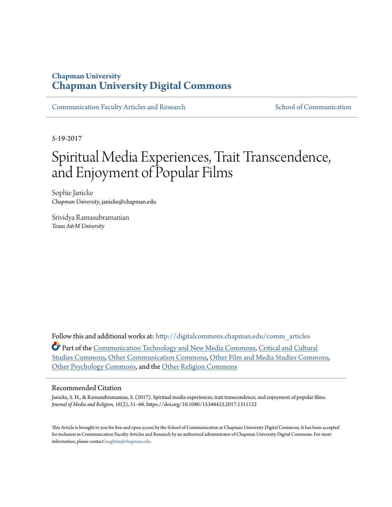## **Chapman University [Chapman University Digital Commons](http://digitalcommons.chapman.edu?utm_source=digitalcommons.chapman.edu%2Fcomm_articles%2F35&utm_medium=PDF&utm_campaign=PDFCoverPages)**

[Communication Faculty Articles and Research](http://digitalcommons.chapman.edu/comm_articles?utm_source=digitalcommons.chapman.edu%2Fcomm_articles%2F35&utm_medium=PDF&utm_campaign=PDFCoverPages) [School of Communication](http://digitalcommons.chapman.edu/communication?utm_source=digitalcommons.chapman.edu%2Fcomm_articles%2F35&utm_medium=PDF&utm_campaign=PDFCoverPages)

5-19-2017

# Spiritual Media Experiences, Trait Transcendence, and Enjoyment of Popular Films

Sophie Janicke *Chapman University*, janicke@chapman.edu

Srividya Ramasubramanian *Texas A&M University*

Follow this and additional works at: [http://digitalcommons.chapman.edu/comm\\_articles](http://digitalcommons.chapman.edu/comm_articles?utm_source=digitalcommons.chapman.edu%2Fcomm_articles%2F35&utm_medium=PDF&utm_campaign=PDFCoverPages) Part of the [Communication Technology and New Media Commons](http://network.bepress.com/hgg/discipline/327?utm_source=digitalcommons.chapman.edu%2Fcomm_articles%2F35&utm_medium=PDF&utm_campaign=PDFCoverPages), [Critical and Cultural](http://network.bepress.com/hgg/discipline/328?utm_source=digitalcommons.chapman.edu%2Fcomm_articles%2F35&utm_medium=PDF&utm_campaign=PDFCoverPages) [Studies Commons](http://network.bepress.com/hgg/discipline/328?utm_source=digitalcommons.chapman.edu%2Fcomm_articles%2F35&utm_medium=PDF&utm_campaign=PDFCoverPages), [Other Communication Commons,](http://network.bepress.com/hgg/discipline/339?utm_source=digitalcommons.chapman.edu%2Fcomm_articles%2F35&utm_medium=PDF&utm_campaign=PDFCoverPages) [Other Film and Media Studies Commons,](http://network.bepress.com/hgg/discipline/565?utm_source=digitalcommons.chapman.edu%2Fcomm_articles%2F35&utm_medium=PDF&utm_campaign=PDFCoverPages) [Other Psychology Commons](http://network.bepress.com/hgg/discipline/415?utm_source=digitalcommons.chapman.edu%2Fcomm_articles%2F35&utm_medium=PDF&utm_campaign=PDFCoverPages), and the [Other Religion Commons](http://network.bepress.com/hgg/discipline/545?utm_source=digitalcommons.chapman.edu%2Fcomm_articles%2F35&utm_medium=PDF&utm_campaign=PDFCoverPages)

#### Recommended Citation

Janicke, S. H., & Ramasubramanian, S. (2017). Spiritual media experiences, trait transcendence, and enjoyment of popular films. *Journal of Media and Religion, 16*(2), 51–66. https://doi.org/10.1080/15348423.2017.1311122

This Article is brought to you for free and open access by the School of Communication at Chapman University Digital Commons. It has been accepted for inclusion in Communication Faculty Articles and Research by an authorized administrator of Chapman University Digital Commons. For more information, please contact [laughtin@chapman.edu](mailto:laughtin@chapman.edu).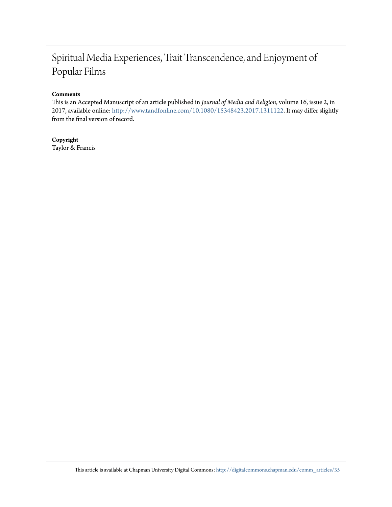## Spiritual Media Experiences, Trait Transcendence, and Enjoyment of Popular Films

#### **Comments**

This is an Accepted Manuscript of an article published in *Journal of Media and Religion*, volume 16, issue 2, in 2017, available online: <http://www.tandfonline.com/10.1080/15348423.2017.1311122>. It may differ slightly from the final version of record.

**Copyright** Taylor & Francis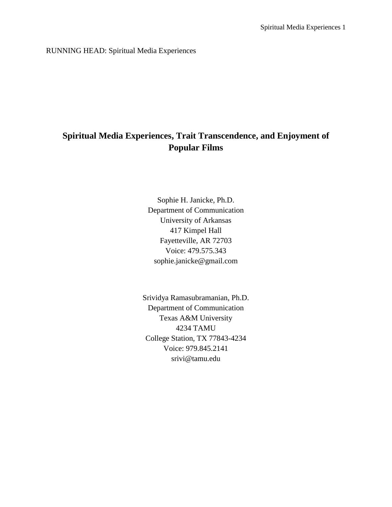RUNNING HEAD: Spiritual Media Experiences

## **Spiritual Media Experiences, Trait Transcendence, and Enjoyment of Popular Films**

Sophie H. Janicke, Ph.D. Department of Communication University of Arkansas 417 Kimpel Hall Fayetteville, AR 72703 Voice: 479.575.343 sophie.janicke@gmail.com

Srividya Ramasubramanian, Ph.D. Department of Communication Texas A&M University 4234 TAMU College Station, TX 77843-4234 Voice: 979.845.2141 srivi@tamu.edu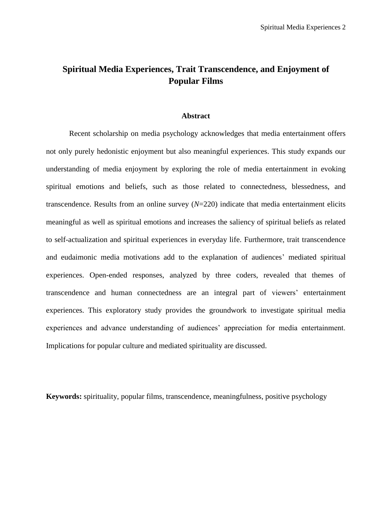## **Spiritual Media Experiences, Trait Transcendence, and Enjoyment of Popular Films**

#### **Abstract**

Recent scholarship on media psychology acknowledges that media entertainment offers not only purely hedonistic enjoyment but also meaningful experiences. This study expands our understanding of media enjoyment by exploring the role of media entertainment in evoking spiritual emotions and beliefs, such as those related to connectedness, blessedness, and transcendence. Results from an online survey (*N*=220) indicate that media entertainment elicits meaningful as well as spiritual emotions and increases the saliency of spiritual beliefs as related to self-actualization and spiritual experiences in everyday life. Furthermore, trait transcendence and eudaimonic media motivations add to the explanation of audiences' mediated spiritual experiences. Open-ended responses, analyzed by three coders, revealed that themes of transcendence and human connectedness are an integral part of viewers' entertainment experiences. This exploratory study provides the groundwork to investigate spiritual media experiences and advance understanding of audiences' appreciation for media entertainment. Implications for popular culture and mediated spirituality are discussed.

**Keywords:** spirituality, popular films, transcendence, meaningfulness, positive psychology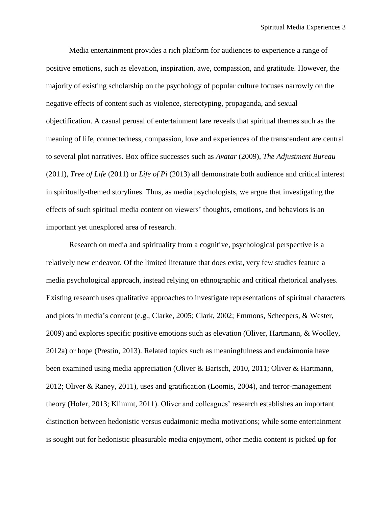Media entertainment provides a rich platform for audiences to experience a range of positive emotions, such as elevation, inspiration, awe, compassion, and gratitude. However, the majority of existing scholarship on the psychology of popular culture focuses narrowly on the negative effects of content such as violence, stereotyping, propaganda, and sexual objectification. A casual perusal of entertainment fare reveals that spiritual themes such as the meaning of life, connectedness, compassion, love and experiences of the transcendent are central to several plot narratives. Box office successes such as *Avatar* (2009), *The Adjustment Bureau* (2011), *Tree of Life* (2011) or *Life of Pi* (2013) all demonstrate both audience and critical interest in spiritually-themed storylines. Thus, as media psychologists, we argue that investigating the effects of such spiritual media content on viewers' thoughts, emotions, and behaviors is an important yet unexplored area of research.

Research on media and spirituality from a cognitive, psychological perspective is a relatively new endeavor. Of the limited literature that does exist, very few studies feature a media psychological approach, instead relying on ethnographic and critical rhetorical analyses. Existing research uses qualitative approaches to investigate representations of spiritual characters and plots in media's content (e.g., Clarke, 2005; Clark, 2002; Emmons, Scheepers, & Wester, 2009) and explores specific positive emotions such as elevation (Oliver, Hartmann, & Woolley, 2012a) or hope (Prestin, 2013). Related topics such as meaningfulness and eudaimonia have been examined using media appreciation (Oliver & Bartsch, 2010, 2011; Oliver & Hartmann, 2012; Oliver & Raney, 2011), uses and gratification (Loomis, 2004), and terror-management theory (Hofer, 2013; Klimmt, 2011). Oliver and colleagues' research establishes an important distinction between hedonistic versus eudaimonic media motivations; while some entertainment is sought out for hedonistic pleasurable media enjoyment, other media content is picked up for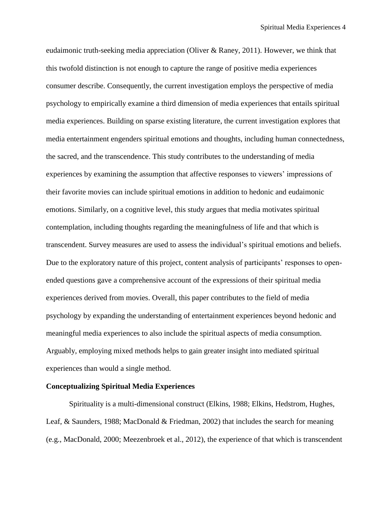eudaimonic truth-seeking media appreciation (Oliver & Raney, 2011). However, we think that this twofold distinction is not enough to capture the range of positive media experiences consumer describe. Consequently, the current investigation employs the perspective of media psychology to empirically examine a third dimension of media experiences that entails spiritual media experiences. Building on sparse existing literature, the current investigation explores that media entertainment engenders spiritual emotions and thoughts, including human connectedness, the sacred, and the transcendence. This study contributes to the understanding of media experiences by examining the assumption that affective responses to viewers' impressions of their favorite movies can include spiritual emotions in addition to hedonic and eudaimonic emotions. Similarly, on a cognitive level, this study argues that media motivates spiritual contemplation, including thoughts regarding the meaningfulness of life and that which is transcendent. Survey measures are used to assess the individual's spiritual emotions and beliefs. Due to the exploratory nature of this project, content analysis of participants' responses to openended questions gave a comprehensive account of the expressions of their spiritual media experiences derived from movies. Overall, this paper contributes to the field of media psychology by expanding the understanding of entertainment experiences beyond hedonic and meaningful media experiences to also include the spiritual aspects of media consumption. Arguably, employing mixed methods helps to gain greater insight into mediated spiritual experiences than would a single method.

#### **Conceptualizing Spiritual Media Experiences**

Spirituality is a multi-dimensional construct (Elkins, 1988; Elkins, Hedstrom, Hughes, Leaf, & Saunders, 1988; MacDonald & Friedman, 2002) that includes the search for meaning (e.g., MacDonald, 2000; Meezenbroek et al., 2012), the experience of that which is transcendent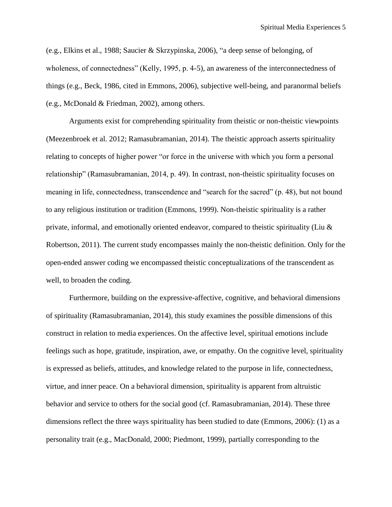(e.g., Elkins et al., 1988; Saucier & Skrzypinska, 2006), "a deep sense of belonging, of wholeness, of connectedness" (Kelly, 1995, p. 4-5), an awareness of the interconnectedness of things (e.g., Beck, 1986, cited in Emmons, 2006), subjective well-being, and paranormal beliefs (e.g., McDonald & Friedman, 2002), among others.

Arguments exist for comprehending spirituality from theistic or non-theistic viewpoints (Meezenbroek et al. 2012; Ramasubramanian, 2014). The theistic approach asserts spirituality relating to concepts of higher power "or force in the universe with which you form a personal relationship" (Ramasubramanian, 2014, p. 49). In contrast, non-theistic spirituality focuses on meaning in life, connectedness, transcendence and "search for the sacred" (p. 48), but not bound to any religious institution or tradition (Emmons, 1999). Non-theistic spirituality is a rather private, informal, and emotionally oriented endeavor, compared to theistic spirituality (Liu & Robertson, 2011). The current study encompasses mainly the non-theistic definition. Only for the open-ended answer coding we encompassed theistic conceptualizations of the transcendent as well, to broaden the coding.

Furthermore, building on the expressive-affective, cognitive, and behavioral dimensions of spirituality (Ramasubramanian, 2014), this study examines the possible dimensions of this construct in relation to media experiences. On the affective level, spiritual emotions include feelings such as hope, gratitude, inspiration, awe, or empathy. On the cognitive level, spirituality is expressed as beliefs, attitudes, and knowledge related to the purpose in life, connectedness, virtue, and inner peace. On a behavioral dimension, spirituality is apparent from altruistic behavior and service to others for the social good (cf. Ramasubramanian, 2014). These three dimensions reflect the three ways spirituality has been studied to date (Emmons, 2006): (1) as a personality trait (e.g., MacDonald, 2000; Piedmont, 1999), partially corresponding to the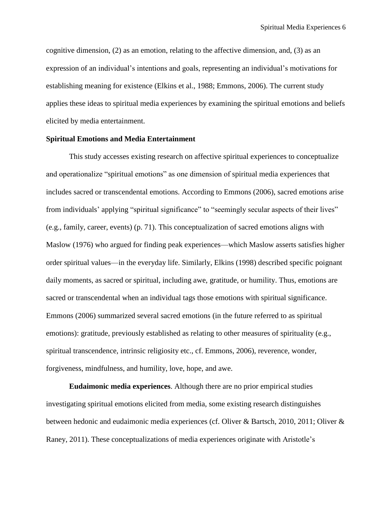cognitive dimension, (2) as an emotion, relating to the affective dimension, and, (3) as an expression of an individual's intentions and goals, representing an individual's motivations for establishing meaning for existence (Elkins et al., 1988; Emmons, 2006). The current study applies these ideas to spiritual media experiences by examining the spiritual emotions and beliefs elicited by media entertainment.

#### **Spiritual Emotions and Media Entertainment**

This study accesses existing research on affective spiritual experiences to conceptualize and operationalize "spiritual emotions" as one dimension of spiritual media experiences that includes sacred or transcendental emotions. According to Emmons (2006), sacred emotions arise from individuals' applying "spiritual significance" to "seemingly secular aspects of their lives" (e.g., family, career, events) (p. 71). This conceptualization of sacred emotions aligns with Maslow (1976) who argued for finding peak experiences—which Maslow asserts satisfies higher order spiritual values—in the everyday life. Similarly, Elkins (1998) described specific poignant daily moments, as sacred or spiritual, including awe, gratitude, or humility. Thus, emotions are sacred or transcendental when an individual tags those emotions with spiritual significance. Emmons (2006) summarized several sacred emotions (in the future referred to as spiritual emotions): gratitude, previously established as relating to other measures of spirituality (e.g., spiritual transcendence, intrinsic religiosity etc., cf. Emmons, 2006), reverence, wonder, forgiveness, mindfulness, and humility, love, hope, and awe.

**Eudaimonic media experiences**. Although there are no prior empirical studies investigating spiritual emotions elicited from media, some existing research distinguishes between hedonic and eudaimonic media experiences (cf. Oliver & Bartsch, 2010, 2011; Oliver & Raney, 2011). These conceptualizations of media experiences originate with Aristotle's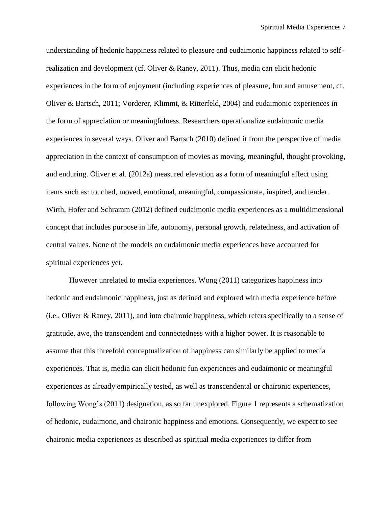understanding of hedonic happiness related to pleasure and eudaimonic happiness related to selfrealization and development (cf. Oliver & Raney, 2011). Thus, media can elicit hedonic experiences in the form of enjoyment (including experiences of pleasure, fun and amusement, cf. Oliver & Bartsch, 2011; Vorderer, Klimmt, & Ritterfeld, 2004) and eudaimonic experiences in the form of appreciation or meaningfulness. Researchers operationalize eudaimonic media experiences in several ways. Oliver and Bartsch (2010) defined it from the perspective of media appreciation in the context of consumption of movies as moving, meaningful, thought provoking, and enduring. Oliver et al. (2012a) measured elevation as a form of meaningful affect using items such as: touched, moved, emotional, meaningful, compassionate, inspired, and tender. Wirth, Hofer and Schramm (2012) defined eudaimonic media experiences as a multidimensional concept that includes purpose in life, autonomy, personal growth, relatedness, and activation of central values. None of the models on eudaimonic media experiences have accounted for spiritual experiences yet.

However unrelated to media experiences, Wong (2011) categorizes happiness into hedonic and eudaimonic happiness, just as defined and explored with media experience before (i.e., Oliver & Raney, 2011), and into chaironic happiness, which refers specifically to a sense of gratitude, awe, the transcendent and connectedness with a higher power. It is reasonable to assume that this threefold conceptualization of happiness can similarly be applied to media experiences. That is, media can elicit hedonic fun experiences and eudaimonic or meaningful experiences as already empirically tested, as well as transcendental or chaironic experiences, following Wong's (2011) designation, as so far unexplored. Figure 1 represents a schematization of hedonic, eudaimonc, and chaironic happiness and emotions. Consequently, we expect to see chaironic media experiences as described as spiritual media experiences to differ from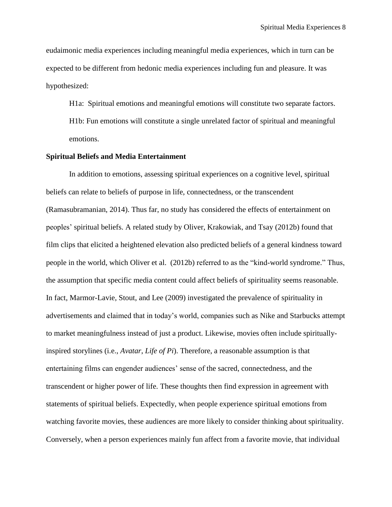eudaimonic media experiences including meaningful media experiences, which in turn can be expected to be different from hedonic media experiences including fun and pleasure. It was hypothesized:

H1a: Spiritual emotions and meaningful emotions will constitute two separate factors. H1b: Fun emotions will constitute a single unrelated factor of spiritual and meaningful emotions.

#### **Spiritual Beliefs and Media Entertainment**

In addition to emotions, assessing spiritual experiences on a cognitive level, spiritual beliefs can relate to beliefs of purpose in life, connectedness, or the transcendent (Ramasubramanian, 2014). Thus far, no study has considered the effects of entertainment on peoples' spiritual beliefs. A related study by Oliver, Krakowiak, and Tsay (2012b) found that film clips that elicited a heightened elevation also predicted beliefs of a general kindness toward people in the world, which Oliver et al. (2012b) referred to as the "kind-world syndrome." Thus, the assumption that specific media content could affect beliefs of spirituality seems reasonable. In fact, Marmor-Lavie, Stout, and Lee (2009) investigated the prevalence of spirituality in advertisements and claimed that in today's world, companies such as Nike and Starbucks attempt to market meaningfulness instead of just a product. Likewise, movies often include spirituallyinspired storylines (i.e., *Avatar*, *Life of Pi*). Therefore, a reasonable assumption is that entertaining films can engender audiences' sense of the sacred, connectedness, and the transcendent or higher power of life. These thoughts then find expression in agreement with statements of spiritual beliefs. Expectedly, when people experience spiritual emotions from watching favorite movies, these audiences are more likely to consider thinking about spirituality. Conversely, when a person experiences mainly fun affect from a favorite movie, that individual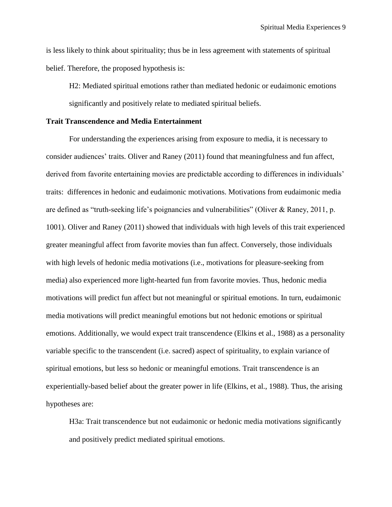is less likely to think about spirituality; thus be in less agreement with statements of spiritual belief. Therefore, the proposed hypothesis is:

H2: Mediated spiritual emotions rather than mediated hedonic or eudaimonic emotions significantly and positively relate to mediated spiritual beliefs.

#### **Trait Transcendence and Media Entertainment**

For understanding the experiences arising from exposure to media, it is necessary to consider audiences' traits. Oliver and Raney (2011) found that meaningfulness and fun affect, derived from favorite entertaining movies are predictable according to differences in individuals' traits: differences in hedonic and eudaimonic motivations. Motivations from eudaimonic media are defined as "truth-seeking life's poignancies and vulnerabilities" (Oliver & Raney, 2011, p. 1001). Oliver and Raney (2011) showed that individuals with high levels of this trait experienced greater meaningful affect from favorite movies than fun affect. Conversely, those individuals with high levels of hedonic media motivations (i.e., motivations for pleasure-seeking from media) also experienced more light-hearted fun from favorite movies. Thus, hedonic media motivations will predict fun affect but not meaningful or spiritual emotions. In turn, eudaimonic media motivations will predict meaningful emotions but not hedonic emotions or spiritual emotions. Additionally, we would expect trait transcendence (Elkins et al., 1988) as a personality variable specific to the transcendent (i.e. sacred) aspect of spirituality, to explain variance of spiritual emotions, but less so hedonic or meaningful emotions. Trait transcendence is an experientially-based belief about the greater power in life (Elkins, et al., 1988). Thus, the arising hypotheses are:

H3a: Trait transcendence but not eudaimonic or hedonic media motivations significantly and positively predict mediated spiritual emotions.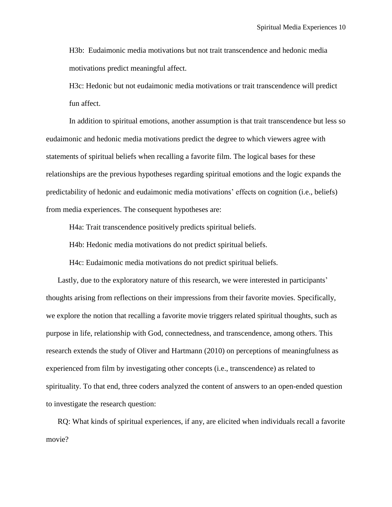H3b: Eudaimonic media motivations but not trait transcendence and hedonic media motivations predict meaningful affect.

H3c: Hedonic but not eudaimonic media motivations or trait transcendence will predict fun affect.

In addition to spiritual emotions, another assumption is that trait transcendence but less so eudaimonic and hedonic media motivations predict the degree to which viewers agree with statements of spiritual beliefs when recalling a favorite film. The logical bases for these relationships are the previous hypotheses regarding spiritual emotions and the logic expands the predictability of hedonic and eudaimonic media motivations' effects on cognition (i.e., beliefs) from media experiences. The consequent hypotheses are:

H4a: Trait transcendence positively predicts spiritual beliefs.

H4b: Hedonic media motivations do not predict spiritual beliefs.

H4c: Eudaimonic media motivations do not predict spiritual beliefs.

Lastly, due to the exploratory nature of this research, we were interested in participants' thoughts arising from reflections on their impressions from their favorite movies. Specifically, we explore the notion that recalling a favorite movie triggers related spiritual thoughts, such as purpose in life, relationship with God, connectedness, and transcendence, among others. This research extends the study of Oliver and Hartmann (2010) on perceptions of meaningfulness as experienced from film by investigating other concepts (i.e., transcendence) as related to spirituality. To that end, three coders analyzed the content of answers to an open-ended question to investigate the research question:

RQ: What kinds of spiritual experiences, if any, are elicited when individuals recall a favorite movie?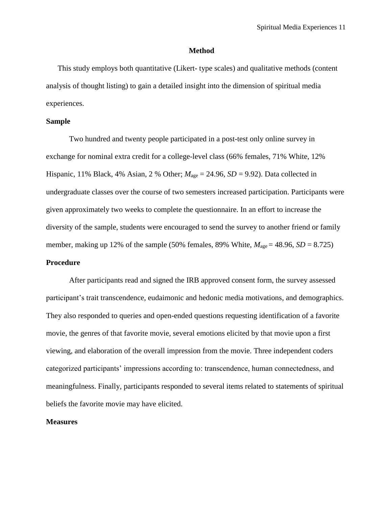#### **Method**

This study employs both quantitative (Likert- type scales) and qualitative methods (content analysis of thought listing) to gain a detailed insight into the dimension of spiritual media experiences.

#### **Sample**

Two hundred and twenty people participated in a post-test only online survey in exchange for nominal extra credit for a college-level class (66% females, 71% White, 12% Hispanic, 11% Black, 4% Asian, 2 % Other;  $M_{\text{age}} = 24.96$ ,  $SD = 9.92$ ). Data collected in undergraduate classes over the course of two semesters increased participation. Participants were given approximately two weeks to complete the questionnaire. In an effort to increase the diversity of the sample, students were encouraged to send the survey to another friend or family member, making up 12% of the sample (50% females, 89% White, *M*age = 48.96, *SD* = 8.725) **Procedure**

After participants read and signed the IRB approved consent form, the survey assessed participant's trait transcendence, eudaimonic and hedonic media motivations, and demographics. They also responded to queries and open-ended questions requesting identification of a favorite movie, the genres of that favorite movie, several emotions elicited by that movie upon a first viewing, and elaboration of the overall impression from the movie. Three independent coders categorized participants' impressions according to: transcendence, human connectedness, and meaningfulness. Finally, participants responded to several items related to statements of spiritual beliefs the favorite movie may have elicited.

#### **Measures**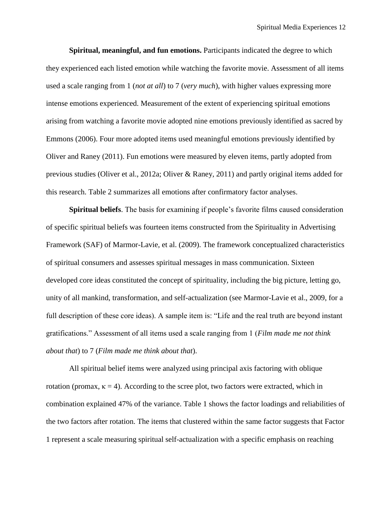**Spiritual, meaningful, and fun emotions.** Participants indicated the degree to which they experienced each listed emotion while watching the favorite movie. Assessment of all items used a scale ranging from 1 (*not at all*) to 7 (*very much*), with higher values expressing more intense emotions experienced. Measurement of the extent of experiencing spiritual emotions arising from watching a favorite movie adopted nine emotions previously identified as sacred by Emmons (2006). Four more adopted items used meaningful emotions previously identified by Oliver and Raney (2011). Fun emotions were measured by eleven items, partly adopted from previous studies (Oliver et al., 2012a; Oliver & Raney, 2011) and partly original items added for this research. Table 2 summarizes all emotions after confirmatory factor analyses.

**Spiritual beliefs**. The basis for examining if people's favorite films caused consideration of specific spiritual beliefs was fourteen items constructed from the Spirituality in Advertising Framework (SAF) of Marmor-Lavie, et al. (2009). The framework conceptualized characteristics of spiritual consumers and assesses spiritual messages in mass communication. Sixteen developed core ideas constituted the concept of spirituality, including the big picture, letting go, unity of all mankind, transformation, and self-actualization (see Marmor-Lavie et al., 2009, for a full description of these core ideas). A sample item is: "Life and the real truth are beyond instant gratifications." Assessment of all items used a scale ranging from 1 (*Film made me not think about that*) to 7 (*Film made me think about that*).

All spiritual belief items were analyzed using principal axis factoring with oblique rotation (promax,  $κ = 4$ ). According to the scree plot, two factors were extracted, which in combination explained 47% of the variance. Table 1 shows the factor loadings and reliabilities of the two factors after rotation. The items that clustered within the same factor suggests that Factor 1 represent a scale measuring spiritual self-actualization with a specific emphasis on reaching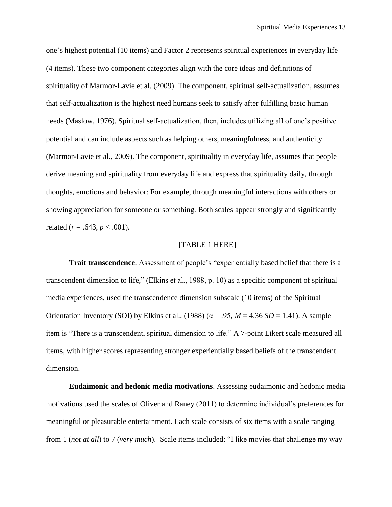one's highest potential (10 items) and Factor 2 represents spiritual experiences in everyday life (4 items). These two component categories align with the core ideas and definitions of spirituality of Marmor-Lavie et al. (2009). The component, spiritual self-actualization, assumes that self-actualization is the highest need humans seek to satisfy after fulfilling basic human needs (Maslow, 1976). Spiritual self-actualization, then, includes utilizing all of one's positive potential and can include aspects such as helping others, meaningfulness, and authenticity (Marmor-Lavie et al., 2009). The component, spirituality in everyday life, assumes that people derive meaning and spirituality from everyday life and express that spirituality daily, through thoughts, emotions and behavior: For example, through meaningful interactions with others or showing appreciation for someone or something. Both scales appear strongly and significantly related ( $r = .643$ ,  $p < .001$ ).

#### [TABLE 1 HERE]

**Trait transcendence**. Assessment of people's "experientially based belief that there is a transcendent dimension to life," (Elkins et al., 1988, p. 10) as a specific component of spiritual media experiences, used the transcendence dimension subscale (10 items) of the Spiritual Orientation Inventory (SOI) by Elkins et al., (1988) ( $\alpha$  = .95, *M* = 4.36 *SD* = 1.41). A sample item is "There is a transcendent, spiritual dimension to life." A 7-point Likert scale measured all items, with higher scores representing stronger experientially based beliefs of the transcendent dimension.

**Eudaimonic and hedonic media motivations**. Assessing eudaimonic and hedonic media motivations used the scales of Oliver and Raney (2011) to determine individual's preferences for meaningful or pleasurable entertainment. Each scale consists of six items with a scale ranging from 1 (*not at all*) to 7 (*very much*). Scale items included: "I like movies that challenge my way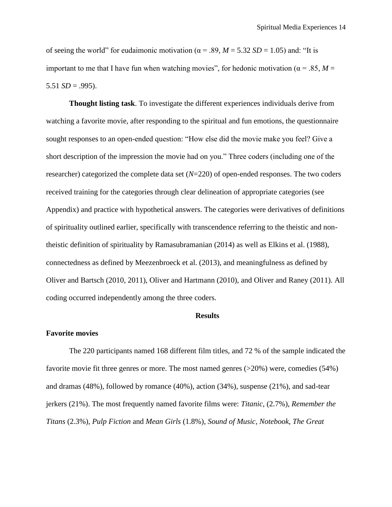of seeing the world" for eudaimonic motivation ( $\alpha$  = .89,  $M = 5.32$  *SD* = 1.05) and: "It is important to me that I have fun when watching movies", for hedonic motivation ( $\alpha$  = .85, *M* = 5.51  $SD = .995$ ).

**Thought listing task**. To investigate the different experiences individuals derive from watching a favorite movie, after responding to the spiritual and fun emotions, the questionnaire sought responses to an open-ended question: "How else did the movie make you feel? Give a short description of the impression the movie had on you." Three coders (including one of the researcher) categorized the complete data set (*N*=220) of open-ended responses. The two coders received training for the categories through clear delineation of appropriate categories (see Appendix) and practice with hypothetical answers. The categories were derivatives of definitions of spirituality outlined earlier, specifically with transcendence referring to the theistic and nontheistic definition of spirituality by Ramasubramanian (2014) as well as Elkins et al. (1988), connectedness as defined by Meezenbroeck et al. (2013), and meaningfulness as defined by Oliver and Bartsch (2010, 2011), Oliver and Hartmann (2010), and Oliver and Raney (2011). All coding occurred independently among the three coders.

#### **Results**

#### **Favorite movies**

The 220 participants named 168 different film titles, and 72 % of the sample indicated the favorite movie fit three genres or more. The most named genres (>20%) were, comedies (54%) and dramas (48%), followed by romance (40%), action (34%), suspense (21%), and sad-tear jerkers (21%). The most frequently named favorite films were: *Titanic*, (2.7%), *Remember the Titans* (2.3%), *Pulp Fiction* and *Mean Girls* (1.8%), *Sound of Music*, *Notebook*, *The Great*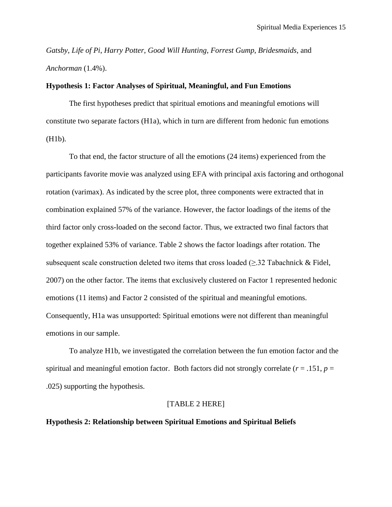*Gatsby*, *Life of Pi*, *Harry Potter*, *Good Will Hunting*, *Forrest Gump*, *Bridesmaids*, and *Anchorman* (1.4%).

#### **Hypothesis 1: Factor Analyses of Spiritual, Meaningful, and Fun Emotions**

The first hypotheses predict that spiritual emotions and meaningful emotions will constitute two separate factors (H1a), which in turn are different from hedonic fun emotions (H1b).

To that end, the factor structure of all the emotions (24 items) experienced from the participants favorite movie was analyzed using EFA with principal axis factoring and orthogonal rotation (varimax). As indicated by the scree plot, three components were extracted that in combination explained 57% of the variance. However, the factor loadings of the items of the third factor only cross-loaded on the second factor. Thus, we extracted two final factors that together explained 53% of variance. Table 2 shows the factor loadings after rotation. The subsequent scale construction deleted two items that cross loaded ( $\geq$ .32 Tabachnick & Fidel, 2007) on the other factor. The items that exclusively clustered on Factor 1 represented hedonic emotions (11 items) and Factor 2 consisted of the spiritual and meaningful emotions. Consequently, H1a was unsupported: Spiritual emotions were not different than meaningful emotions in our sample.

To analyze H1b, we investigated the correlation between the fun emotion factor and the spiritual and meaningful emotion factor. Both factors did not strongly correlate  $(r = .151, p = .151)$ .025) supporting the hypothesis.

#### [TABLE 2 HERE]

#### **Hypothesis 2: Relationship between Spiritual Emotions and Spiritual Beliefs**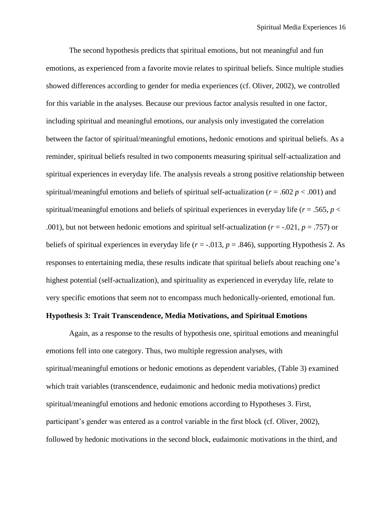The second hypothesis predicts that spiritual emotions, but not meaningful and fun emotions, as experienced from a favorite movie relates to spiritual beliefs. Since multiple studies showed differences according to gender for media experiences (cf. Oliver, 2002), we controlled for this variable in the analyses. Because our previous factor analysis resulted in one factor, including spiritual and meaningful emotions, our analysis only investigated the correlation between the factor of spiritual/meaningful emotions, hedonic emotions and spiritual beliefs. As a reminder, spiritual beliefs resulted in two components measuring spiritual self-actualization and spiritual experiences in everyday life. The analysis reveals a strong positive relationship between spiritual/meaningful emotions and beliefs of spiritual self-actualization (*r* = .602 *p* < .001) and spiritual/meaningful emotions and beliefs of spiritual experiences in everyday life ( $r = .565$ ,  $p <$ .001), but not between hedonic emotions and spiritual self-actualization ( $r = -0.021$ ,  $p = .757$ ) or beliefs of spiritual experiences in everyday life  $(r = -0.013, p = .846)$ , supporting Hypothesis 2. As responses to entertaining media, these results indicate that spiritual beliefs about reaching one's highest potential (self-actualization), and spirituality as experienced in everyday life, relate to very specific emotions that seem not to encompass much hedonically-oriented, emotional fun.

#### **Hypothesis 3: Trait Transcendence, Media Motivations, and Spiritual Emotions**

Again, as a response to the results of hypothesis one, spiritual emotions and meaningful emotions fell into one category. Thus, two multiple regression analyses, with spiritual/meaningful emotions or hedonic emotions as dependent variables, (Table 3) examined which trait variables (transcendence, eudaimonic and hedonic media motivations) predict spiritual/meaningful emotions and hedonic emotions according to Hypotheses 3. First, participant's gender was entered as a control variable in the first block (cf. Oliver, 2002), followed by hedonic motivations in the second block, eudaimonic motivations in the third, and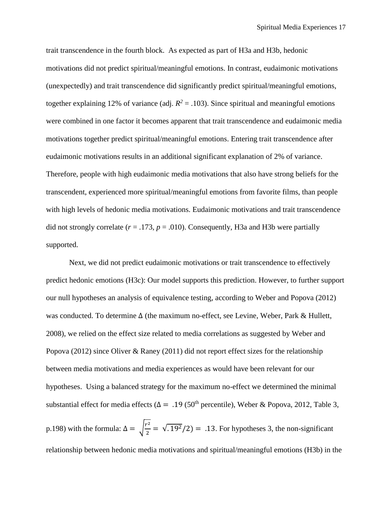trait transcendence in the fourth block. As expected as part of H3a and H3b, hedonic motivations did not predict spiritual/meaningful emotions. In contrast, eudaimonic motivations (unexpectedly) and trait transcendence did significantly predict spiritual/meaningful emotions, together explaining 12% of variance (adj.  $R^2 = .103$ ). Since spiritual and meaningful emotions were combined in one factor it becomes apparent that trait transcendence and eudaimonic media motivations together predict spiritual/meaningful emotions. Entering trait transcendence after eudaimonic motivations results in an additional significant explanation of 2% of variance. Therefore, people with high eudaimonic media motivations that also have strong beliefs for the transcendent, experienced more spiritual/meaningful emotions from favorite films, than people with high levels of hedonic media motivations. Eudaimonic motivations and trait transcendence did not strongly correlate  $(r = .173, p = .010)$ . Consequently, H3a and H3b were partially supported.

Next, we did not predict eudaimonic motivations or trait transcendence to effectively predict hedonic emotions (H3c): Our model supports this prediction. However, to further support our null hypotheses an analysis of equivalence testing, according to Weber and Popova (2012) was conducted. To determine ∆ (the maximum no-effect, see Levine, Weber, Park & Hullett, 2008), we relied on the effect size related to media correlations as suggested by Weber and Popova (2012) since Oliver & Raney (2011) did not report effect sizes for the relationship between media motivations and media experiences as would have been relevant for our hypotheses. Using a balanced strategy for the maximum no-effect we determined the minimal substantial effect for media effects ( $\Delta = .19$  (50<sup>th</sup> percentile), Weber & Popova, 2012, Table 3,

p.198) with the formula:  $\Delta = \sqrt{\frac{r^2}{r^2}}$  $\frac{22}{2} = \sqrt{.19^2}/2$  = .13. For hypotheses 3, the non-significant relationship between hedonic media motivations and spiritual/meaningful emotions (H3b) in the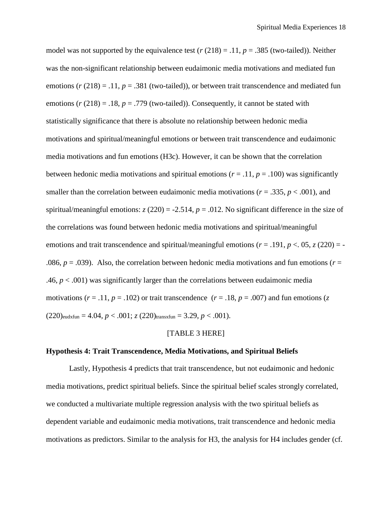model was not supported by the equivalence test  $(r(218) = .11, p = .385$  (two-tailed)). Neither was the non-significant relationship between eudaimonic media motivations and mediated fun emotions  $(r(218) = .11, p = .381$  (two-tailed)), or between trait transcendence and mediated fun emotions  $(r (218) = .18, p = .779$  (two-tailed)). Consequently, it cannot be stated with statistically significance that there is absolute no relationship between hedonic media motivations and spiritual/meaningful emotions or between trait transcendence and eudaimonic media motivations and fun emotions (H3c). However, it can be shown that the correlation between hedonic media motivations and spiritual emotions  $(r = .11, p = .100)$  was significantly smaller than the correlation between eudaimonic media motivations ( $r = .335$ ,  $p < .001$ ), and spiritual/meaningful emotions:  $z(220) = -2.514$ ,  $p = .012$ . No significant difference in the size of the correlations was found between hedonic media motivations and spiritual/meaningful emotions and trait transcendence and spiritual/meaningful emotions ( $r = .191$ ,  $p < .05$ ,  $z(220) = -$ .086,  $p = .039$ ). Also, the correlation between hedonic media motivations and fun emotions ( $r =$ .46, *p* < .001) was significantly larger than the correlations between eudaimonic media motivations ( $r = .11$ ,  $p = .102$ ) or trait transcendence ( $r = .18$ ,  $p = .007$ ) and fun emotions ( $z$ )  $(220)_{\text{eudxfun}} = 4.04, p < .001; z (220)_{\text{transxfun}} = 3.29, p < .001$ .

#### [TABLE 3 HERE]

#### **Hypothesis 4: Trait Transcendence, Media Motivations, and Spiritual Beliefs**

Lastly, Hypothesis 4 predicts that trait transcendence, but not eudaimonic and hedonic media motivations, predict spiritual beliefs. Since the spiritual belief scales strongly correlated, we conducted a multivariate multiple regression analysis with the two spiritual beliefs as dependent variable and eudaimonic media motivations, trait transcendence and hedonic media motivations as predictors. Similar to the analysis for H3, the analysis for H4 includes gender (cf.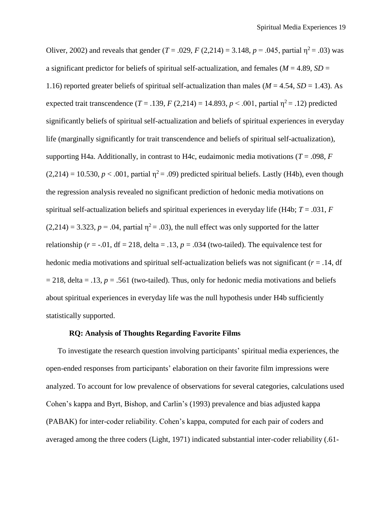Oliver, 2002) and reveals that gender (*T* = .029, *F* (2.214) = 3.148, *p* = .045, partial  $n^2$  = .03) was a significant predictor for beliefs of spiritual self-actualization, and females ( $M = 4.89$ ,  $SD =$ 1.16) reported greater beliefs of spiritual self-actualization than males ( $M = 4.54$ ,  $SD = 1.43$ ). As expected trait transcendence  $(T = .139, F(2,214) = 14.893, p < .001$ , partial  $\eta^2 = .12$ ) predicted significantly beliefs of spiritual self-actualization and beliefs of spiritual experiences in everyday life (marginally significantly for trait transcendence and beliefs of spiritual self-actualization), supporting H4a. Additionally, in contrast to H4c, eudaimonic media motivations ( $T = .098$ ,  $F = .098$  $(2,214) = 10.530$ ,  $p < .001$ , partial  $\eta^2 = .09$ ) predicted spiritual beliefs. Lastly (H4b), even though the regression analysis revealed no significant prediction of hedonic media motivations on spiritual self-actualization beliefs and spiritual experiences in everyday life (H4b; *T* = .031, *F*   $(2,214) = 3.323$ ,  $p = .04$ , partial  $\eta^2 = .03$ ), the null effect was only supported for the latter relationship ( $r = -0.01$ , df = 218, delta = .13,  $p = 0.034$  (two-tailed). The equivalence test for hedonic media motivations and spiritual self-actualization beliefs was not significant (*r* = .14, df  $= 218$ , delta  $= .13$ ,  $p = .561$  (two-tailed). Thus, only for hedonic media motivations and beliefs about spiritual experiences in everyday life was the null hypothesis under H4b sufficiently statistically supported.

#### **RQ: Analysis of Thoughts Regarding Favorite Films**

To investigate the research question involving participants' spiritual media experiences, the open-ended responses from participants' elaboration on their favorite film impressions were analyzed. To account for low prevalence of observations for several categories, calculations used Cohen's kappa and Byrt, Bishop, and Carlin's (1993) prevalence and bias adjusted kappa (PABAK) for inter-coder reliability. Cohen's kappa, computed for each pair of coders and averaged among the three coders (Light, 1971) indicated substantial inter-coder reliability (.61-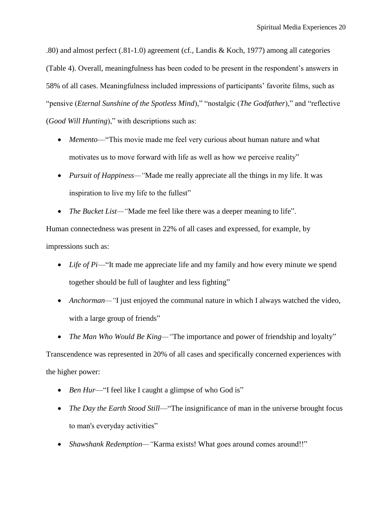.80) and almost perfect (.81-1.0) agreement (cf., Landis & Koch, 1977) among all categories (Table 4). Overall, meaningfulness has been coded to be present in the respondent's answers in 58% of all cases. Meaningfulness included impressions of participants' favorite films, such as "pensive (*Eternal Sunshine of the Spotless Mind*)," "nostalgic (*The Godfather*)," and "reflective (*Good Will Hunting*)," with descriptions such as:

- *Memento*—"This movie made me feel very curious about human nature and what motivates us to move forward with life as well as how we perceive reality"
- *Pursuit of Happiness—"*Made me really appreciate all the things in my life. It was inspiration to live my life to the fullest"
- *The Bucket List—"*Made me feel like there was a deeper meaning to life".

Human connectedness was present in 22% of all cases and expressed, for example, by impressions such as:

- *Life of Pi*—"It made me appreciate life and my family and how every minute we spend together should be full of laughter and less fighting"
- *Anchorman—"*I just enjoyed the communal nature in which I always watched the video, with a large group of friends"
- *The Man Who Would Be King—* "The importance and power of friendship and loyalty"

Transcendence was represented in 20% of all cases and specifically concerned experiences with the higher power:

- *Ben Hur*—"I feel like I caught a glimpse of who God is"
- The Day the Earth Stood Still—"The insignificance of man in the universe brought focus to man's everyday activities"
- *Shawshank Redemption* "Karma exists! What goes around comes around!!"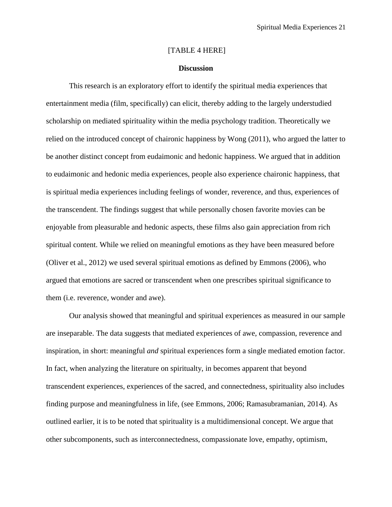#### [TABLE 4 HERE]

#### **Discussion**

This research is an exploratory effort to identify the spiritual media experiences that entertainment media (film, specifically) can elicit, thereby adding to the largely understudied scholarship on mediated spirituality within the media psychology tradition. Theoretically we relied on the introduced concept of chaironic happiness by Wong (2011), who argued the latter to be another distinct concept from eudaimonic and hedonic happiness. We argued that in addition to eudaimonic and hedonic media experiences, people also experience chaironic happiness, that is spiritual media experiences including feelings of wonder, reverence, and thus, experiences of the transcendent. The findings suggest that while personally chosen favorite movies can be enjoyable from pleasurable and hedonic aspects, these films also gain appreciation from rich spiritual content. While we relied on meaningful emotions as they have been measured before (Oliver et al., 2012) we used several spiritual emotions as defined by Emmons (2006), who argued that emotions are sacred or transcendent when one prescribes spiritual significance to them (i.e. reverence, wonder and awe).

Our analysis showed that meaningful and spiritual experiences as measured in our sample are inseparable. The data suggests that mediated experiences of awe, compassion, reverence and inspiration, in short: meaningful *and* spiritual experiences form a single mediated emotion factor. In fact, when analyzing the literature on spiritualty, in becomes apparent that beyond transcendent experiences, experiences of the sacred, and connectedness, spirituality also includes finding purpose and meaningfulness in life, (see Emmons, 2006; Ramasubramanian, 2014). As outlined earlier, it is to be noted that spirituality is a multidimensional concept. We argue that other subcomponents, such as interconnectedness, compassionate love, empathy, optimism,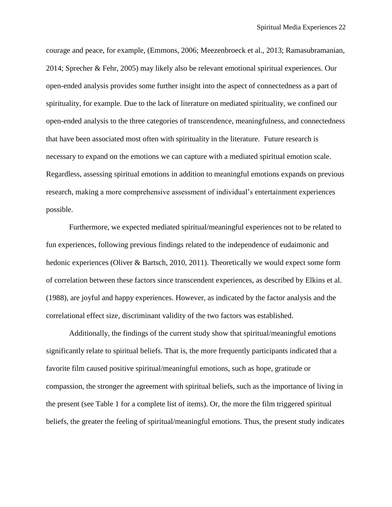courage and peace, for example, (Emmons, 2006; Meezenbroeck et al., 2013; Ramasubramanian, 2014; Sprecher & Fehr, 2005) may likely also be relevant emotional spiritual experiences. Our open-ended analysis provides some further insight into the aspect of connectedness as a part of spirituality, for example. Due to the lack of literature on mediated spirituality, we confined our open-ended analysis to the three categories of transcendence, meaningfulness, and connectedness that have been associated most often with spirituality in the literature. Future research is necessary to expand on the emotions we can capture with a mediated spiritual emotion scale. Regardless, assessing spiritual emotions in addition to meaningful emotions expands on previous research, making a more comprehensive assessment of individual's entertainment experiences possible.

Furthermore, we expected mediated spiritual/meaningful experiences not to be related to fun experiences, following previous findings related to the independence of eudaimonic and hedonic experiences (Oliver & Bartsch, 2010, 2011). Theoretically we would expect some form of correlation between these factors since transcendent experiences, as described by Elkins et al. (1988), are joyful and happy experiences. However, as indicated by the factor analysis and the correlational effect size, discriminant validity of the two factors was established.

Additionally, the findings of the current study show that spiritual/meaningful emotions significantly relate to spiritual beliefs. That is, the more frequently participants indicated that a favorite film caused positive spiritual/meaningful emotions, such as hope, gratitude or compassion, the stronger the agreement with spiritual beliefs, such as the importance of living in the present (see Table 1 for a complete list of items). Or, the more the film triggered spiritual beliefs, the greater the feeling of spiritual/meaningful emotions. Thus, the present study indicates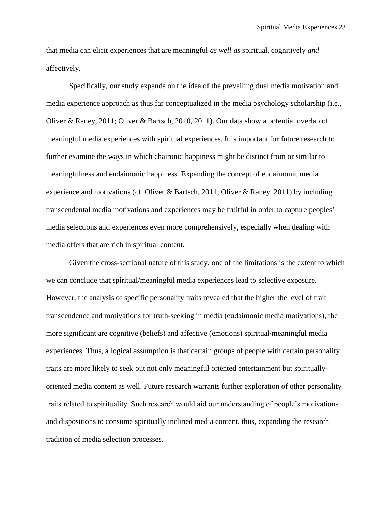that media can elicit experiences that are meaningful *as well as* spiritual, cognitively *and* affectively.

Specifically, our study expands on the idea of the prevailing dual media motivation and media experience approach as thus far conceptualized in the media psychology scholarship (i.e., Oliver & Raney, 2011; Oliver & Bartsch, 2010, 2011). Our data show a potential overlap of meaningful media experiences with spiritual experiences. It is important for future research to further examine the ways in which chaironic happiness might be distinct from or similar to meaningfulness and eudaimonic happiness. Expanding the concept of eudaimonic media experience and motivations (cf. Oliver & Bartsch, 2011; Oliver & Raney, 2011) by including transcendental media motivations and experiences may be fruitful in order to capture peoples' media selections and experiences even more comprehensively, especially when dealing with media offers that are rich in spiritual content.

Given the cross-sectional nature of this study, one of the limitations is the extent to which we can conclude that spiritual/meaningful media experiences lead to selective exposure. However, the analysis of specific personality traits revealed that the higher the level of trait transcendence and motivations for truth-seeking in media (eudaimonic media motivations), the more significant are cognitive (beliefs) and affective (emotions) spiritual/meaningful media experiences. Thus, a logical assumption is that certain groups of people with certain personality traits are more likely to seek out not only meaningful oriented entertainment but spirituallyoriented media content as well. Future research warrants further exploration of other personality traits related to spirituality. Such research would aid our understanding of people's motivations and dispositions to consume spiritually inclined media content, thus, expanding the research tradition of media selection processes.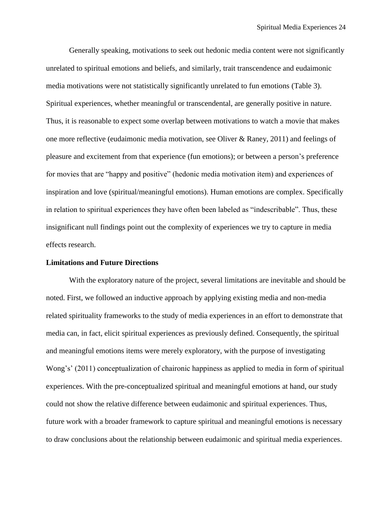Generally speaking, motivations to seek out hedonic media content were not significantly unrelated to spiritual emotions and beliefs, and similarly, trait transcendence and eudaimonic media motivations were not statistically significantly unrelated to fun emotions (Table 3). Spiritual experiences, whether meaningful or transcendental, are generally positive in nature. Thus, it is reasonable to expect some overlap between motivations to watch a movie that makes one more reflective (eudaimonic media motivation, see Oliver & Raney, 2011) and feelings of pleasure and excitement from that experience (fun emotions); or between a person's preference for movies that are "happy and positive" (hedonic media motivation item) and experiences of inspiration and love (spiritual/meaningful emotions). Human emotions are complex. Specifically in relation to spiritual experiences they have often been labeled as "indescribable". Thus, these insignificant null findings point out the complexity of experiences we try to capture in media effects research.

#### **Limitations and Future Directions**

With the exploratory nature of the project, several limitations are inevitable and should be noted. First, we followed an inductive approach by applying existing media and non-media related spirituality frameworks to the study of media experiences in an effort to demonstrate that media can, in fact, elicit spiritual experiences as previously defined. Consequently, the spiritual and meaningful emotions items were merely exploratory, with the purpose of investigating Wong's' (2011) conceptualization of chaironic happiness as applied to media in form of spiritual experiences. With the pre-conceptualized spiritual and meaningful emotions at hand, our study could not show the relative difference between eudaimonic and spiritual experiences. Thus, future work with a broader framework to capture spiritual and meaningful emotions is necessary to draw conclusions about the relationship between eudaimonic and spiritual media experiences.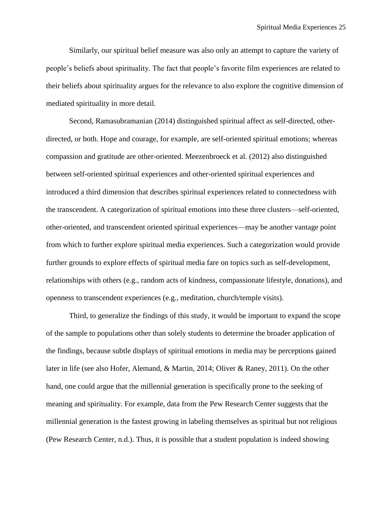Similarly, our spiritual belief measure was also only an attempt to capture the variety of people's beliefs about spirituality. The fact that people's favorite film experiences are related to their beliefs about spirituality argues for the relevance to also explore the cognitive dimension of mediated spirituality in more detail.

Second, Ramasubramanian (2014) distinguished spiritual affect as self-directed, otherdirected, or both. Hope and courage, for example, are self-oriented spiritual emotions; whereas compassion and gratitude are other-oriented. Meezenbroeck et al. (2012) also distinguished between self-oriented spiritual experiences and other-oriented spiritual experiences and introduced a third dimension that describes spiritual experiences related to connectedness with the transcendent. A categorization of spiritual emotions into these three clusters—self-oriented, other-oriented, and transcendent oriented spiritual experiences—may be another vantage point from which to further explore spiritual media experiences. Such a categorization would provide further grounds to explore effects of spiritual media fare on topics such as self-development, relationships with others (e.g., random acts of kindness, compassionate lifestyle, donations), and openness to transcendent experiences (e.g., meditation, church/temple visits).

Third, to generalize the findings of this study, it would be important to expand the scope of the sample to populations other than solely students to determine the broader application of the findings, because subtle displays of spiritual emotions in media may be perceptions gained later in life (see also Hofer, Alemand, & Martin, 2014; Oliver & Raney, 2011). On the other hand, one could argue that the millennial generation is specifically prone to the seeking of meaning and spirituality. For example, data from the Pew Research Center suggests that the millennial generation is the fastest growing in labeling themselves as spiritual but not religious (Pew Research Center, n.d.). Thus, it is possible that a student population is indeed showing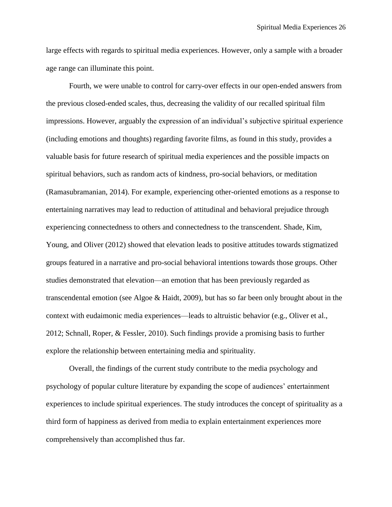large effects with regards to spiritual media experiences. However, only a sample with a broader age range can illuminate this point.

Fourth, we were unable to control for carry-over effects in our open-ended answers from the previous closed-ended scales, thus, decreasing the validity of our recalled spiritual film impressions. However, arguably the expression of an individual's subjective spiritual experience (including emotions and thoughts) regarding favorite films, as found in this study, provides a valuable basis for future research of spiritual media experiences and the possible impacts on spiritual behaviors, such as random acts of kindness, pro-social behaviors, or meditation (Ramasubramanian, 2014). For example, experiencing other-oriented emotions as a response to entertaining narratives may lead to reduction of attitudinal and behavioral prejudice through experiencing connectedness to others and connectedness to the transcendent. Shade, Kim, Young, and Oliver (2012) showed that elevation leads to positive attitudes towards stigmatized groups featured in a narrative and pro-social behavioral intentions towards those groups. Other studies demonstrated that elevation—an emotion that has been previously regarded as transcendental emotion (see Algoe & Haidt, 2009), but has so far been only brought about in the context with eudaimonic media experiences—leads to altruistic behavior (e.g., Oliver et al., 2012; Schnall, Roper, & Fessler, 2010). Such findings provide a promising basis to further explore the relationship between entertaining media and spirituality.

Overall, the findings of the current study contribute to the media psychology and psychology of popular culture literature by expanding the scope of audiences' entertainment experiences to include spiritual experiences. The study introduces the concept of spirituality as a third form of happiness as derived from media to explain entertainment experiences more comprehensively than accomplished thus far.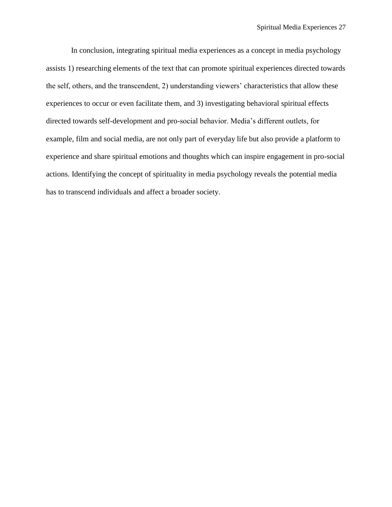In conclusion, integrating spiritual media experiences as a concept in media psychology assists 1) researching elements of the text that can promote spiritual experiences directed towards the self, others, and the transcendent, 2) understanding viewers' characteristics that allow these experiences to occur or even facilitate them, and 3) investigating behavioral spiritual effects directed towards self-development and pro-social behavior. Media's different outlets, for example, film and social media, are not only part of everyday life but also provide a platform to experience and share spiritual emotions and thoughts which can inspire engagement in pro-social actions. Identifying the concept of spirituality in media psychology reveals the potential media has to transcend individuals and affect a broader society.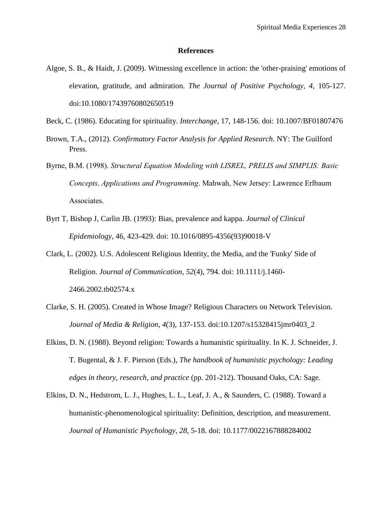#### **References**

- Algoe, S. B., & Haidt, J. (2009). Witnessing excellence in action: the 'other-praising' emotions of elevation, gratitude, and admiration. *The Journal of Positive Psychology, 4*, 105-127. doi:10.1080/17439760802650519
- Beck, C. (1986). Educating for spirituality. *Interchange,* 17, 148-156. doi: 10.1007/BF01807476
- Brown, T.A., (2012). *Confirmatory Factor Analysis for Applied Research*. NY: The Guilford Press.
- Byrne, B.M. (1998). *Structural Equation Modeling with LISREL, PRELIS and SIMPLIS: Basic Concepts, Applications and Programming*. Mahwah, New Jersey: Lawrence Erlbaum Associates.
- Byrt T, Bishop J, Carlin JB. (1993): Bias, prevalence and kappa. *Journal of Clinical Epidemiology,* 46, 423-429. doi: 10.1016/0895-4356(93)90018-V
- Clark, L. (2002). U.S. Adolescent Religious Identity, the Media, and the 'Funky' Side of Religion. *Journal of Communication*, *52*(4), 794. doi: 10.1111/j.1460- 2466.2002.tb02574.x
- Clarke, S. H. (2005). Created in Whose Image? Religious Characters on Network Television. *Journal of Media & Religion*, *4*(3), 137-153. doi:10.1207/s15328415jmr0403\_2
- Elkins, D. N. (1988). Beyond religion: Towards a humanistic spirituality. In K. J. Schneider, J. T. Bugental, & J. F. Pierson (Eds.), *The handbook of humanistic psychology: Leading edges in theory, research, and practice* (pp. 201-212). Thousand Oaks, CA: Sage.
- Elkins, D. N., Hedstrom, L. J., Hughes, L. L., Leaf, J. A., & Saunders, C. (1988). Toward a humanistic-phenomenological spirituality: Definition, description, and measurement. *Journal of Humanistic Psychology, 28*, 5-18. doi: 10.1177/0022167888284002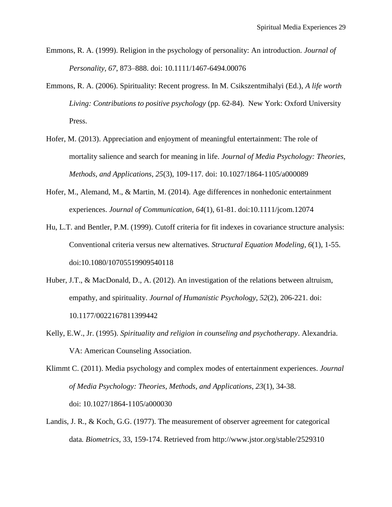- Emmons, R. A. (1999). Religion in the psychology of personality: An introduction. *Journal of Personality, 67*, 873–888. doi: 10.1111/1467-6494.00076
- Emmons, R. A. (2006). Spirituality: Recent progress. In M. Csikszentmihalyi (Ed.), *A life worth Living: Contributions to positive psychology* (pp. 62-84). New York: Oxford University Press.
- Hofer, M. (2013). Appreciation and enjoyment of meaningful entertainment: The role of mortality salience and search for meaning in life. *Journal of Media Psychology: Theories, Methods, and Applications*, *25*(3), 109-117. doi: 10.1027/1864-1105/a000089
- Hofer, M., Alemand, M., & Martin, M. (2014). Age differences in nonhedonic entertainment experiences. *Journal of Communication, 64*(1), 61-81. doi:10.1111/jcom.12074
- Hu, L.T. and Bentler, P.M. (1999). Cutoff criteria for fit indexes in covariance structure analysis: Conventional criteria versus new alternatives*. Structural Equation Modeling*, *6*(1), 1-55. doi[:10.1080/10705519909540118](http://dx.doi.org/10.1080/10705519909540118)
- Huber, J.T., & MacDonald, D., A. (2012). An investigation of the relations between altruism, empathy, and spirituality. *Journal of Humanistic Psychology, 52*(2), 206-221. doi: 10.1177/0022167811399442
- Kelly, E.W., Jr. (1995). *Spirituality and religion in counseling and psychotherapy*. Alexandria. VA: American Counseling Association.

Klimmt C. (2011). Media psychology and complex modes of entertainment experiences. *Journal of Media Psychology: Theories, Methods, and Applications*, *23*(1), 34-38. doi: 10.1027/1864-1105/a000030

Landis, J. R., & Koch, G.G. (1977). The measurement of observer agreement for categorical data*. Biometrics,* 33, 159-174. Retrieved from http://www.jstor.org/stable/2529310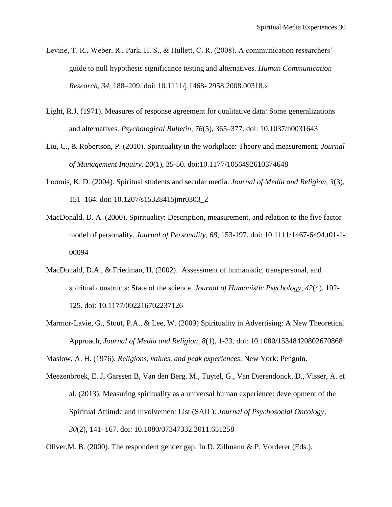- Levine, T. R., Weber, R., Park, H. S., & Hullett, C. R. (2008). A communication researchers' guide to null hypothesis significance testing and alternatives. *Human Communication Research*, *34*, 188–209. doi: 10.1111/j.1468- 2958.2008.00318.x
- Light, R.J. (1971). Measures of response agreement for qualitative data: Some generalizations and alternatives. *Psychological Bulletin, 76*(5), 365–377. doi: [10.1037/h0031643](http://psycnet.apa.org/doi/10.1037/h0031643)
- Liu, C., & Robertson, P. (2010). Spirituality in the workplace: Theory and measurement. *Journal of Management Inquiry*. *20*(1), 35-50. doi:10.1177/1056492610374648
- Loomis, K. D. (2004). Spiritual students and secular media. *Journal of Media and Religion, 3*(3), 151–164. doi: 10.1207/s15328415jmr0303\_2
- MacDonald, D. A. (2000). Spirituality: Description, measurement, and relation to the five factor model of personality. *Journal of Personality, 68*, 153-197. doi: 10.1111/1467-6494.t01-1- 00094
- MacDonald, D.A., & Friedman, H. (2002). Assessment of humanistic, transpersonal, and spiritual constructs: State of the science. *Journal of Humanistic Psychology, 42*(4), 102- 125. doi: 10.1177/002216702237126
- Marmor-Lavie, G., Stout, P.A., & Lee, W. (2009) Spirituality in Advertising: A New Theoretical Approach, *Journal of Media and Religion, 8*(1), 1-23, doi: 10.1080/15348420802670868

Maslow, A. H. (1976). *Religions, values, and peak experiences*. New York: Penguin.

Meezenbroek, E. J, Garssen B, Van den Berg, M., Tuytel, G., Van Dierendonck, D., Visser, A. et al. (2013). Measuring spirituality as a universal human experience: development of the Spiritual Attitude and Involvement List (SAIL). *Journal of Psychosocial Oncology, 30*(2), 141–167. doi: 10.1080/07347332.2011.651258

Oliver,M. B. (2000). The respondent gender gap. In D. Zillmann & P. Vorderer (Eds.),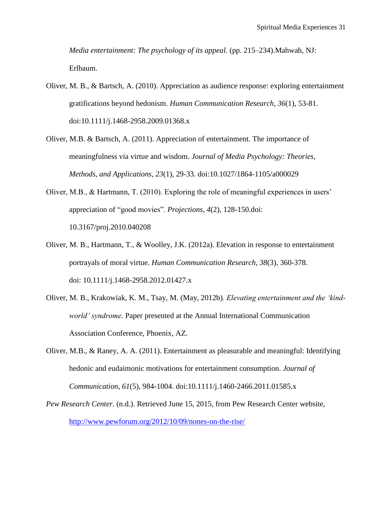*Media entertainment: The psychology of its appeal.* (pp. 215–234).Mahwah, NJ: Erlbaum.

- Oliver, M. B., & Bartsch, A. (2010). Appreciation as audience response: exploring entertainment gratifications beyond hedonism. *Human Communication Research*, *36*(1), 53-81. doi:10.1111/j.1468-2958.2009.01368.x
- Oliver, M.B. & Bartsch, A. (2011). Appreciation of entertainment. The importance of meaningfulness via virtue and wisdom. *Journal of Media Psychology: Theories, Methods, and Applications, 23*(1), 29-33. doi:10.1027/1864-1105/a000029
- Oliver, M.B., & Hartmann, T. (2010). Exploring the role of meaningful experiences in users' appreciation of "good movies". *Projections, 4*(2), 128-150.doi: 10.3167/proj.2010.040208
- Oliver, M. B., Hartmann, T., & Woolley, J.K. (2012a). Elevation in response to entertainment portrayals of moral virtue. *Human Communication Research, 38*(3), 360-378. doi: 10.1111/j.1468-2958.2012.01427.x
- Oliver, M. B., Krakowiak, K. M., Tsay, M. (May, 2012b)*. Elevating entertainment and the 'kindworld' syndrome*. Paper presented at the Annual International Communication Association Conference, Phoenix, AZ.
- Oliver, M.B., & Raney, A. A. (2011). Entertainment as pleasurable and meaningful: Identifying hedonic and eudaimonic motivations for entertainment consumption. *Journal of Communication*, *61*(5), 984-1004. doi:10.1111/j.1460-2466.2011.01585.x
- *Pew Research Center.* (n.d.). Retrieved June 15, 2015, from Pew Research Center website, <http://www.pewforum.org/2012/10/09/nones-on-the-rise/>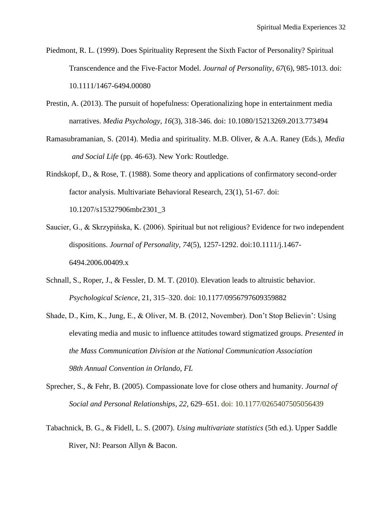- Piedmont, R. L. (1999). Does Spirituality Represent the Sixth Factor of Personality? Spiritual Transcendence and the Five-Factor Model. *Journal of Personality*, *67*(6), 985-1013. doi: 10.1111/1467-6494.00080
- Prestin, A. (2013). The pursuit of hopefulness: Operationalizing hope in entertainment media narratives. *Media Psychology, 16*(3), 318-346. doi: 10.1080/15213269.2013.773494
- Ramasubramanian, S. (2014). Media and spirituality. M.B. Oliver, & A.A. Raney (Eds.), *Media and Social Life* (pp. 46-63). New York: Routledge.
- Rindskopf, D., & Rose, T. (1988). Some theory and applications of confirmatory second-order factor analysis. Multivariate Behavioral Research, 23(1), 51-67. doi: 10.1207/s15327906mbr2301\_3
- Saucier, G., & Skrzypińska, K. (2006). Spiritual but not religious? Evidence for two independent dispositions. *Journal of Personality*, *74*(5), 1257-1292. doi:10.1111/j.1467- 6494.2006.00409.x
- Schnall, S., Roper, J., & Fessler, D. M. T. (2010). Elevation leads to altruistic behavior. *Psychological Science*, 21, 315–320. doi: 10.1177/0956797609359882
- Shade, D., Kim, K., Jung, E., & Oliver, M. B. (2012, November). Don't Stop Believin': Using elevating media and music to influence attitudes toward stigmatized groups. *Presented in the Mass Communication Division at the National Communication Association 98th Annual Convention in Orlando, FL*
- Sprecher, S., & Fehr, B. (2005). Compassionate love for close others and humanity. *Journal of Social and Personal Relationships*, *22*, 629–651. doi: 10.1177/0265407505056439
- Tabachnick, B. G., & Fidell, L. S. (2007). *Using multivariate statistics* (5th ed.). Upper Saddle River, NJ: Pearson Allyn & Bacon.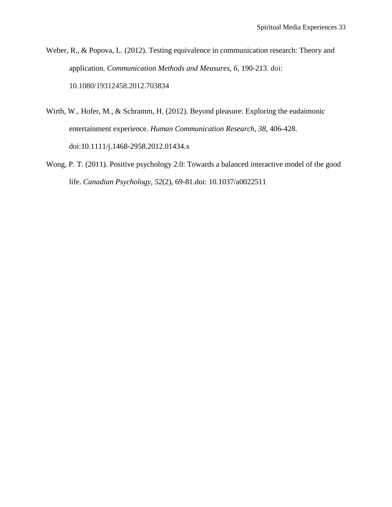- Weber, R., & Popova, L. (2012). Testing equivalence in communication research: Theory and application. *Communication Methods and Measures*, *6*, 190-213. doi: 10.1080/19312458.2012.703834
- Wirth, W., Hofer, M., & Schramm, H. (2012). Beyond pleasure: Exploring the eudaimonic entertainment experience. *Human Communication Research, 38*, 406-428. doi:10.1111/j.1468-2958.2012.01434.x
- Wong, P. T. (2011). Positive psychology 2.0: Towards a balanced interactive model of the good life. *Canadian Psychology, 52*(2), 69-81.doi: 10.1037/a0022511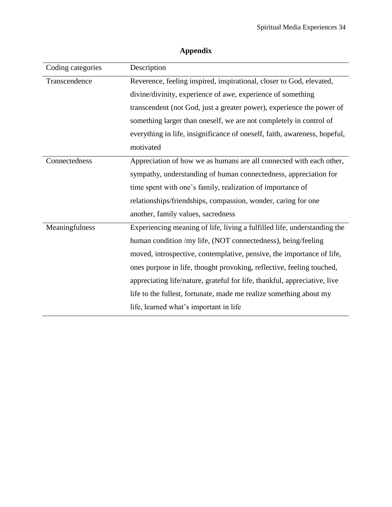| Coding categories | Description                                                               |  |  |  |  |  |  |
|-------------------|---------------------------------------------------------------------------|--|--|--|--|--|--|
| Transcendence     | Reverence, feeling inspired, inspirational, closer to God, elevated,      |  |  |  |  |  |  |
|                   | divine/divinity, experience of awe, experience of something               |  |  |  |  |  |  |
|                   | transcendent (not God, just a greater power), experience the power of     |  |  |  |  |  |  |
|                   | something larger than oneself, we are not completely in control of        |  |  |  |  |  |  |
|                   | everything in life, insignificance of oneself, faith, awareness, hopeful, |  |  |  |  |  |  |
|                   | motivated                                                                 |  |  |  |  |  |  |
| Connectedness     | Appreciation of how we as humans are all connected with each other,       |  |  |  |  |  |  |
|                   | sympathy, understanding of human connectedness, appreciation for          |  |  |  |  |  |  |
|                   | time spent with one's family, realization of importance of                |  |  |  |  |  |  |
|                   | relationships/friendships, compassion, wonder, caring for one             |  |  |  |  |  |  |
|                   | another, family values, sacredness                                        |  |  |  |  |  |  |
| Meaningfulness    | Experiencing meaning of life, living a fulfilled life, understanding the  |  |  |  |  |  |  |
|                   | human condition /my life, (NOT connectedness), being/feeling              |  |  |  |  |  |  |
|                   | moved, introspective, contemplative, pensive, the importance of life,     |  |  |  |  |  |  |
|                   | ones purpose in life, thought provoking, reflective, feeling touched,     |  |  |  |  |  |  |
|                   | appreciating life/nature, grateful for life, thankful, appreciative, live |  |  |  |  |  |  |
|                   | life to the fullest, fortunate, made me realize something about my        |  |  |  |  |  |  |
|                   | life, learned what's important in life                                    |  |  |  |  |  |  |

## **Appendix**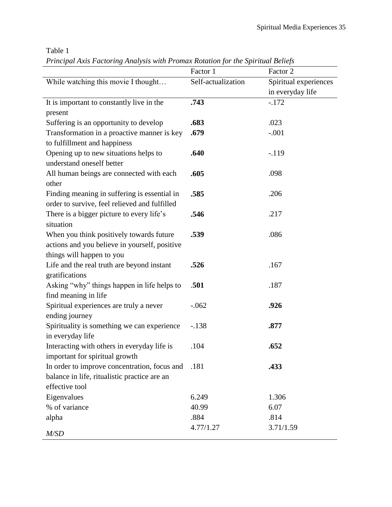Table 1

| Principal Axis Factoring Analysis with Promax Rotation for the Spiritual Beliefs |  |  |  |
|----------------------------------------------------------------------------------|--|--|--|
|                                                                                  |  |  |  |

| While watching this movie I thought<br>It is important to constantly live in the<br>present<br>Suffering is an opportunity to develop<br>Transformation in a proactive manner is key<br>to fulfillment and happiness<br>Opening up to new situations helps to<br>understand oneself better<br>All human beings are connected with each<br>other<br>Finding meaning in suffering is essential in<br>order to survive, feel relieved and fulfilled<br>There is a bigger picture to every life's<br>situation<br>When you think positively towards future | Self-actualization<br>.743 | Spiritual experiences<br>in everyday life<br>$-.172$ |
|--------------------------------------------------------------------------------------------------------------------------------------------------------------------------------------------------------------------------------------------------------------------------------------------------------------------------------------------------------------------------------------------------------------------------------------------------------------------------------------------------------------------------------------------------------|----------------------------|------------------------------------------------------|
|                                                                                                                                                                                                                                                                                                                                                                                                                                                                                                                                                        |                            |                                                      |
|                                                                                                                                                                                                                                                                                                                                                                                                                                                                                                                                                        |                            |                                                      |
|                                                                                                                                                                                                                                                                                                                                                                                                                                                                                                                                                        |                            |                                                      |
|                                                                                                                                                                                                                                                                                                                                                                                                                                                                                                                                                        |                            |                                                      |
|                                                                                                                                                                                                                                                                                                                                                                                                                                                                                                                                                        | .683                       | .023                                                 |
|                                                                                                                                                                                                                                                                                                                                                                                                                                                                                                                                                        | .679                       | $-.001$                                              |
|                                                                                                                                                                                                                                                                                                                                                                                                                                                                                                                                                        |                            |                                                      |
|                                                                                                                                                                                                                                                                                                                                                                                                                                                                                                                                                        | .640                       | $-119$                                               |
|                                                                                                                                                                                                                                                                                                                                                                                                                                                                                                                                                        |                            |                                                      |
|                                                                                                                                                                                                                                                                                                                                                                                                                                                                                                                                                        | .605                       | .098                                                 |
|                                                                                                                                                                                                                                                                                                                                                                                                                                                                                                                                                        |                            |                                                      |
|                                                                                                                                                                                                                                                                                                                                                                                                                                                                                                                                                        | .585                       | .206                                                 |
|                                                                                                                                                                                                                                                                                                                                                                                                                                                                                                                                                        |                            |                                                      |
|                                                                                                                                                                                                                                                                                                                                                                                                                                                                                                                                                        | .546                       | .217                                                 |
|                                                                                                                                                                                                                                                                                                                                                                                                                                                                                                                                                        |                            |                                                      |
|                                                                                                                                                                                                                                                                                                                                                                                                                                                                                                                                                        | .539                       | .086                                                 |
| actions and you believe in yourself, positive                                                                                                                                                                                                                                                                                                                                                                                                                                                                                                          |                            |                                                      |
| things will happen to you                                                                                                                                                                                                                                                                                                                                                                                                                                                                                                                              |                            |                                                      |
| Life and the real truth are beyond instant                                                                                                                                                                                                                                                                                                                                                                                                                                                                                                             | .526                       | .167                                                 |
| gratifications                                                                                                                                                                                                                                                                                                                                                                                                                                                                                                                                         |                            |                                                      |
| Asking "why" things happen in life helps to                                                                                                                                                                                                                                                                                                                                                                                                                                                                                                            | .501                       | .187                                                 |
| find meaning in life                                                                                                                                                                                                                                                                                                                                                                                                                                                                                                                                   |                            |                                                      |
| Spiritual experiences are truly a never                                                                                                                                                                                                                                                                                                                                                                                                                                                                                                                | $-.062$                    | .926                                                 |
| ending journey                                                                                                                                                                                                                                                                                                                                                                                                                                                                                                                                         |                            |                                                      |
| Spirituality is something we can experience                                                                                                                                                                                                                                                                                                                                                                                                                                                                                                            | $-.138$                    | .877                                                 |
| in everyday life                                                                                                                                                                                                                                                                                                                                                                                                                                                                                                                                       |                            |                                                      |
| Interacting with others in everyday life is                                                                                                                                                                                                                                                                                                                                                                                                                                                                                                            | .104                       | .652                                                 |
| important for spiritual growth                                                                                                                                                                                                                                                                                                                                                                                                                                                                                                                         |                            |                                                      |
| In order to improve concentration, focus and                                                                                                                                                                                                                                                                                                                                                                                                                                                                                                           | .181                       | .433                                                 |
| balance in life, ritualistic practice are an                                                                                                                                                                                                                                                                                                                                                                                                                                                                                                           |                            |                                                      |
| effective tool                                                                                                                                                                                                                                                                                                                                                                                                                                                                                                                                         |                            |                                                      |
| Eigenvalues                                                                                                                                                                                                                                                                                                                                                                                                                                                                                                                                            | 6.249                      | 1.306                                                |
| % of variance                                                                                                                                                                                                                                                                                                                                                                                                                                                                                                                                          | 40.99                      | 6.07                                                 |
| alpha                                                                                                                                                                                                                                                                                                                                                                                                                                                                                                                                                  |                            |                                                      |
| M/SD                                                                                                                                                                                                                                                                                                                                                                                                                                                                                                                                                   | .884<br>4.77/1.27          | .814<br>3.71/1.59                                    |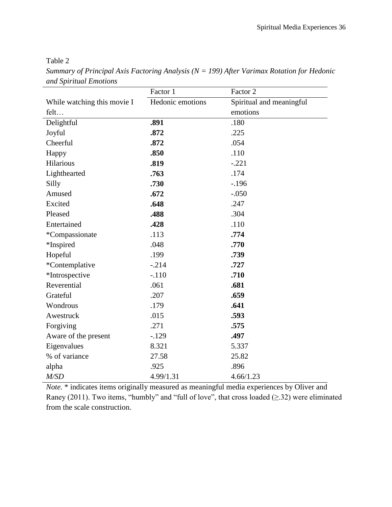## Table 2

*Summary of Principal Axis Factoring Analysis (N = 199) After Varimax Rotation for Hedonic and Spiritual Emotions*

|                             | Factor 1         | Factor 2                 |
|-----------------------------|------------------|--------------------------|
| While watching this movie I | Hedonic emotions | Spiritual and meaningful |
| felt                        |                  | emotions                 |
| Delightful                  | .891             | .180                     |
| Joyful                      | .872             | .225                     |
| Cheerful                    | .872             | .054                     |
| Happy                       | .850             | .110                     |
| Hilarious                   | .819             | $-.221$                  |
| Lighthearted                | .763             | .174                     |
| Silly                       | .730             | $-.196$                  |
| Amused                      | .672             | $-.050$                  |
| Excited                     | .648             | .247                     |
| Pleased                     | .488             | .304                     |
| Entertained                 | .428             | .110                     |
| *Compassionate              | .113             | .774                     |
| *Inspired                   | .048             | .770                     |
| Hopeful                     | .199             | .739                     |
| *Contemplative              | $-.214$          | .727                     |
| *Introspective              | $-.110$          | .710                     |
| Reverential                 | .061             | .681                     |
| Grateful                    | .207             | .659                     |
| Wondrous                    | .179             | .641                     |
| Awestruck                   | .015             | .593                     |
| Forgiving                   | .271             | .575                     |
| Aware of the present        | $-129$           | .497                     |
| Eigenvalues                 | 8.321            | 5.337                    |
| % of variance               | 27.58            | 25.82                    |
| alpha                       | .925             | .896                     |
| M/SD                        | 4.99/1.31        | 4.66/1.23                |

*Note.* \* indicates items originally measured as meaningful media experiences by Oliver and Raney (2011). Two items, "humbly" and "full of love", that cross loaded  $(\geq 32)$  were eliminated from the scale construction.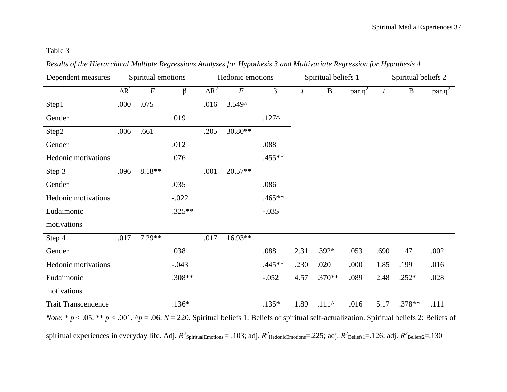## Table 3

| Dependent measures         | Spiritual emotions |                  |          | Hedonic emotions |                  |          | Spiritual beliefs 1 |              |              |                  | Spiritual beliefs 2 |              |  |
|----------------------------|--------------------|------------------|----------|------------------|------------------|----------|---------------------|--------------|--------------|------------------|---------------------|--------------|--|
|                            | $\Delta R^2$       | $\boldsymbol{F}$ | β        | $\Delta R^2$     | $\boldsymbol{F}$ | $\beta$  | t                   | $\, {\bf B}$ | $par.\eta^2$ | $\boldsymbol{t}$ | $\bf{B}$            | $par.\eta^2$ |  |
| Step1                      | .000               | .075             |          | .016             | $3.549^$         |          |                     |              |              |                  |                     |              |  |
| Gender                     |                    |                  | .019     |                  |                  | $.127^$  |                     |              |              |                  |                     |              |  |
| Step2                      | .006               | .661             |          | .205             | $30.80**$        |          |                     |              |              |                  |                     |              |  |
| Gender                     |                    |                  | .012     |                  |                  | .088     |                     |              |              |                  |                     |              |  |
| Hedonic motivations        |                    |                  | .076     |                  |                  | .455**   |                     |              |              |                  |                     |              |  |
| Step 3                     | .096               | $8.18**$         |          | .001             | 20.57**          |          |                     |              |              |                  |                     |              |  |
| Gender                     |                    |                  | .035     |                  |                  | .086     |                     |              |              |                  |                     |              |  |
| Hedonic motivations        |                    |                  | $-.022$  |                  |                  | .465**   |                     |              |              |                  |                     |              |  |
| Eudaimonic                 |                    |                  | $.325**$ |                  |                  | $-.035$  |                     |              |              |                  |                     |              |  |
| motivations                |                    |                  |          |                  |                  |          |                     |              |              |                  |                     |              |  |
| Step 4                     | .017               | 7.29**           |          | .017             | 16.93**          |          |                     |              |              |                  |                     |              |  |
| Gender                     |                    |                  | .038     |                  |                  | .088     | 2.31                | $.392*$      | .053         | .690             | .147                | .002         |  |
| Hedonic motivations        |                    |                  | $-.043$  |                  |                  | $.445**$ | .230                | .020         | .000         | 1.85             | .199                | .016         |  |
| Eudaimonic                 |                    |                  | .308**   |                  |                  | $-.052$  | 4.57                | $.370**$     | .089         | 2.48             | $.252*$             | .028         |  |
| motivations                |                    |                  |          |                  |                  |          |                     |              |              |                  |                     |              |  |
| <b>Trait Transcendence</b> |                    |                  | $.136*$  |                  |                  | $.135*$  | 1.89                | $.111^$      | .016         | 5.17             | .378**              | .111         |  |

*Results of the Hierarchical Multiple Regressions Analyzes for Hypothesis 3 and Multivariate Regression for Hypothesis 4*

*Note*:  $* p < .05$ ,  $** p < .001$ ,  $\gamma p = .06$ .  $N = 220$ . Spiritual beliefs 1: Beliefs of spiritual self-actualization. Spiritual beliefs 2: Beliefs of

spiritual experiences in everyday life. Adj.  $R^2$ <sub>SpiritualEmotions</sub> = .103; adj.  $R^2$ <sub>HedonicEmotions</sub> = .225; adj.  $R^2$ <sub>Beliefs1</sub> = .126; adj.  $R^2$ <sub>Beliefs2</sub> = .130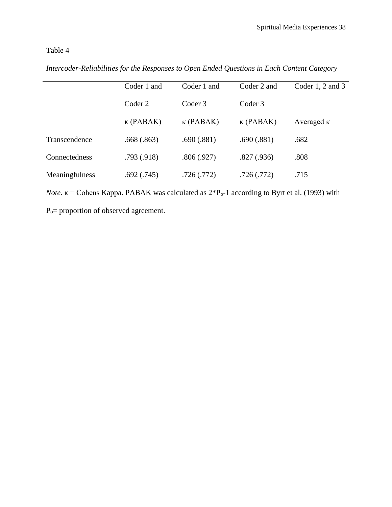## Table 4

|                | Coder 1 and      | Coder 1 and      | Coder 2 and      | Coder 1, 2 and 3  |
|----------------|------------------|------------------|------------------|-------------------|
|                | Coder 2          | Coder 3          | Coder 3          |                   |
|                | $\kappa$ (PABAK) | $\kappa$ (PABAK) | $\kappa$ (PABAK) | Averaged $\kappa$ |
| Transcendence  | .668(.863)       | .690(.881)       | .690(.881)       | .682              |
| Connectedness  | .793(.918)       | .806(.927)       | .827(.936)       | .808              |
| Meaningfulness | .692(.745)       | .726(.772)       | .726(.772)       | .715              |

*Intercoder-Reliabilities for the Responses to Open Ended Questions in Each Content Category*

*Note*.  $\kappa$  = Cohens Kappa. PABAK was calculated as  $2*P_0-1$  according to Byrt et al. (1993) with

Po= proportion of observed agreement.